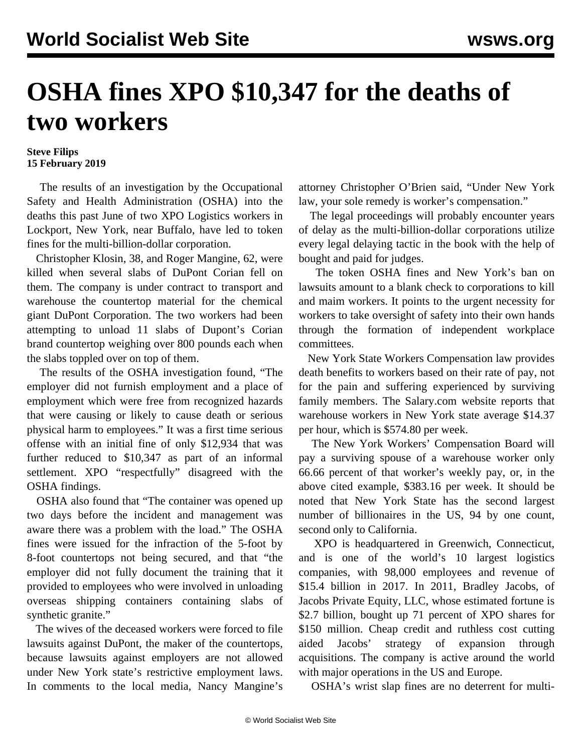## **OSHA fines XPO \$10,347 for the deaths of two workers**

## **Steve Filips 15 February 2019**

 The results of an investigation by the Occupational Safety and Health Administration (OSHA) into the deaths this past June of two XPO Logistics workers in Lockport, New York, near Buffalo, have led to token fines for the multi-billion-dollar corporation.

 Christopher Klosin, 38, and Roger Mangine, 62, were killed when several slabs of DuPont Corian fell on them. The company is under contract to transport and warehouse the countertop material for the chemical giant DuPont Corporation. The two workers had been attempting to unload 11 slabs of Dupont's Corian brand countertop weighing over 800 pounds each when the slabs toppled over on top of them.

 The results of the OSHA investigation found, "The employer did not furnish employment and a place of employment which were free from recognized hazards that were causing or likely to cause death or serious physical harm to employees." It was a first time serious offense with an initial fine of only \$12,934 that was further reduced to \$10,347 as part of an informal settlement. XPO "respectfully" disagreed with the OSHA findings.

 OSHA also found that "The container was opened up two days before the incident and management was aware there was a problem with the load." The OSHA fines were issued for the infraction of the 5-foot by 8-foot countertops not being secured, and that "the employer did not fully document the training that it provided to employees who were involved in unloading overseas shipping containers containing slabs of synthetic granite."

 The wives of the deceased workers were forced to file lawsuits against DuPont, the maker of the countertops, because lawsuits against employers are not allowed under New York state's restrictive employment laws. In comments to the local media, Nancy Mangine's

attorney Christopher O'Brien said, "Under New York law, your sole remedy is worker's compensation."

 The legal proceedings will probably encounter years of delay as the multi-billion-dollar corporations utilize every legal delaying tactic in the book with the help of bought and paid for judges.

 The token OSHA fines and New York's ban on lawsuits amount to a blank check to corporations to kill and maim workers. It points to the urgent necessity for workers to take oversight of safety into their own hands through the formation of independent workplace committees.

 New York State Workers Compensation law provides death benefits to workers based on their rate of pay, not for the pain and suffering experienced by surviving family members. The Salary.com website reports that warehouse workers in New York state average \$14.37 per hour, which is \$574.80 per week.

 The New York Workers' Compensation Board will pay a surviving spouse of a warehouse worker only 66.66 percent of that worker's weekly pay, or, in the above cited example, \$383.16 per week. It should be noted that New York State has the second largest number of billionaires in the US, 94 by one count, second only to California.

 XPO is headquartered in Greenwich, Connecticut, and is one of the world's 10 largest logistics companies, with 98,000 employees and revenue of \$15.4 billion in 2017. In 2011, Bradley Jacobs, of Jacobs Private Equity, LLC, whose estimated fortune is \$2.7 billion, bought up 71 percent of XPO shares for \$150 million. Cheap credit and ruthless cost cutting aided Jacobs' strategy of expansion through acquisitions. The company is active around the world with major operations in the US and Europe.

OSHA's wrist slap fines are no deterrent for multi-